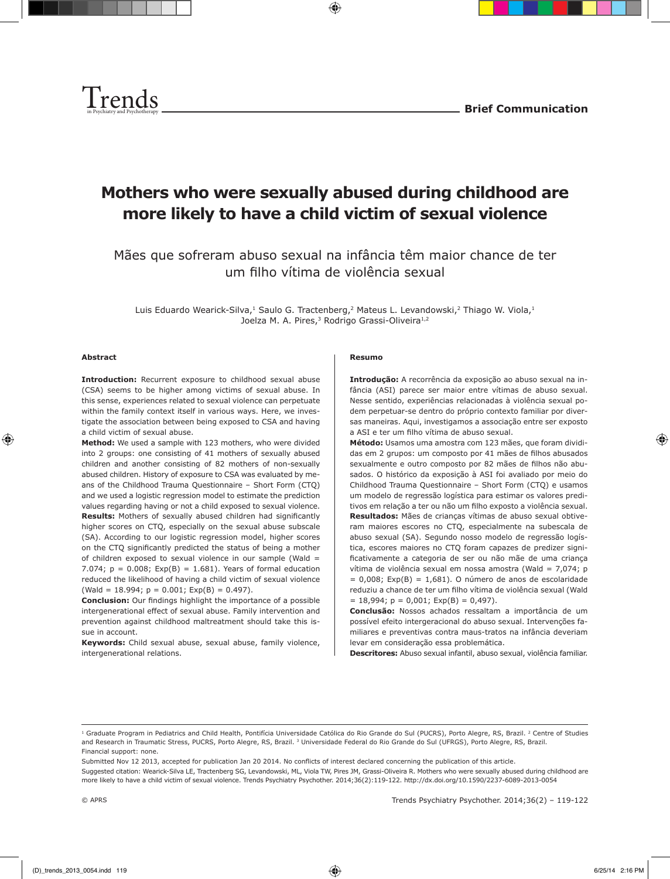



# **Mothers who were sexually abused during childhood are more likely to have a child victim of sexual violence**

Mães que sofreram abuso sexual na infância têm maior chance de ter um filho vítima de violência sexual

Luis Eduardo Wearick-Silva,<sup>1</sup> Saulo G. Tractenberg,<sup>2</sup> Mateus L. Levandowski,<sup>2</sup> Thiago W. Viola,<sup>1</sup> Joelza M. A. Pires,<sup>3</sup> Rodrigo Grassi-Oliveira<sup>1,2</sup>

#### **Abstract**

**Introduction:** Recurrent exposure to childhood sexual abuse (CSA) seems to be higher among victims of sexual abuse. In this sense, experiences related to sexual violence can perpetuate within the family context itself in various ways. Here, we investigate the association between being exposed to CSA and having a child victim of sexual abuse.

**Method:** We used a sample with 123 mothers, who were divided into 2 groups: one consisting of 41 mothers of sexually abused children and another consisting of 82 mothers of non-sexually abused children. History of exposure to CSA was evaluated by means of the Childhood Trauma Questionnaire – Short Form (CTQ) and we used a logistic regression model to estimate the prediction values regarding having or not a child exposed to sexual violence. **Results:** Mothers of sexually abused children had significantly higher scores on CTQ, especially on the sexual abuse subscale (SA). According to our logistic regression model, higher scores on the CTQ significantly predicted the status of being a mother of children exposed to sexual violence in our sample (Wald  $=$ 7.074;  $p = 0.008$ ;  $Exp(B) = 1.681$ ). Years of formal education reduced the likelihood of having a child victim of sexual violence  $(Wald = 18.994; p = 0.001; Exp(B) = 0.497).$ 

**Conclusion:** Our findings highlight the importance of a possible intergenerational effect of sexual abuse. Family intervention and prevention against childhood maltreatment should take this issue in account.

**Keywords:** Child sexual abuse, sexual abuse, family violence, intergenerational relations.

#### **Resumo**

**Introdução:** A recorrência da exposição ao abuso sexual na infância (ASI) parece ser maior entre vítimas de abuso sexual. Nesse sentido, experiências relacionadas à violência sexual podem perpetuar-se dentro do próprio contexto familiar por diversas maneiras. Aqui, investigamos a associação entre ser exposto a ASI e ter um filho vítima de abuso sexual.

**Método:** Usamos uma amostra com 123 mães, que foram divididas em 2 grupos: um composto por 41 mães de filhos abusados sexualmente e outro composto por 82 mães de filhos não abusados. O histórico da exposição à ASI foi avaliado por meio do Childhood Trauma Questionnaire – Short Form (CTQ) e usamos um modelo de regressão logística para estimar os valores preditivos em relação a ter ou não um filho exposto a violência sexual. **Resultados:** Mães de crianças vítimas de abuso sexual obtiveram maiores escores no CTQ, especialmente na subescala de abuso sexual (SA). Segundo nosso modelo de regressão logística, escores maiores no CTQ foram capazes de predizer significativamente a categoria de ser ou não mãe de uma criança vítima de violência sexual em nossa amostra (Wald = 7,074; p  $= 0,008$ ; Exp(B)  $= 1,681$ ). O número de anos de escolaridade reduziu a chance de ter um filho vítima de violência sexual (Wald  $= 18,994; p = 0,001; Exp(B) = 0,497$ .

**Conclusão:** Nossos achados ressaltam a importância de um possível efeito intergeracional do abuso sexual. Intervenções familiares e preventivas contra maus-tratos na infância deveriam levar em consideração essa problemática.

**Descritores:** Abuso sexual infantil, abuso sexual, violência familiar.

Submitted Nov 12 2013, accepted for publication Jan 20 2014. No conflicts of interest declared concerning the publication of this article.

Suggested citation: Wearick-Silva LE, Tractenberg SG, Levandowski, ML, Viola TW, Pires JM, Grassi-Oliveira R. Mothers who were sexually abused during childhood are more likely to have a child victim of sexual violence. Trends Psychiatry Psychother. 2014;36(2):119-122. http://dx.doi.org/10.1590/2237-6089-2013-0054

<sup>&</sup>lt;sup>1</sup> Graduate Program in Pediatrics and Child Health, Pontifícia Universidade Católica do Rio Grande do Sul (PUCRS), Porto Alegre, RS, Brazil. <sup>2</sup> Centre of Studies and Research in Traumatic Stress, PUCRS, Porto Alegre, RS, Brazil. <sup>3</sup> Universidade Federal do Rio Grande do Sul (UFRGS), Porto Alegre, RS, Brazil. Financial support: none.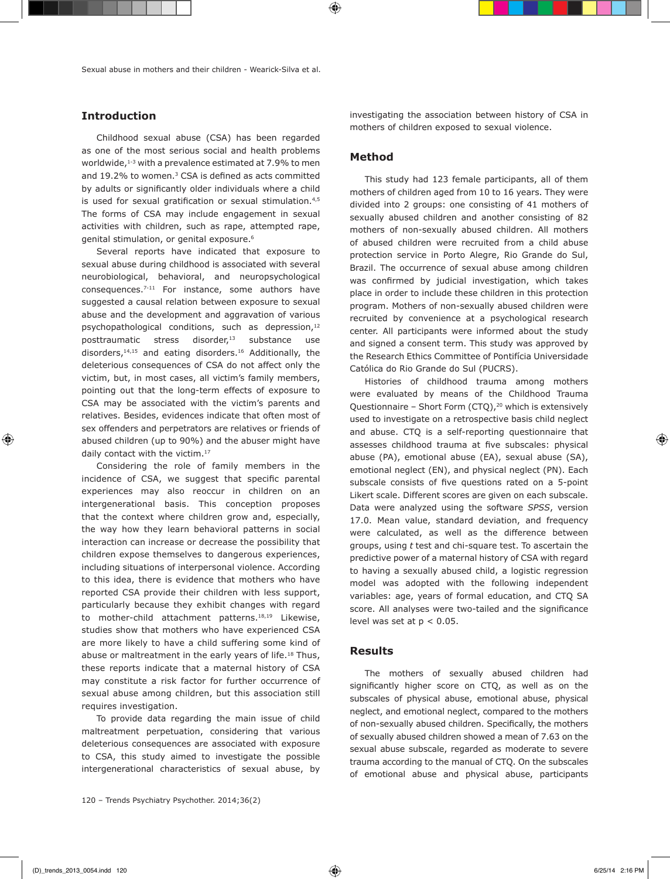# **Introduction**

Childhood sexual abuse (CSA) has been regarded as one of the most serious social and health problems worldwide, $1-3$  with a prevalence estimated at 7.9% to men and 19.2% to women.<sup>3</sup> CSA is defined as acts committed by adults or significantly older individuals where a child is used for sexual gratification or sexual stimulation.<sup>4,5</sup> The forms of CSA may include engagement in sexual activities with children, such as rape, attempted rape, genital stimulation, or genital exposure.<sup>6</sup>

Several reports have indicated that exposure to sexual abuse during childhood is associated with several neurobiological, behavioral, and neuropsychological consequences.7-11 For instance, some authors have suggested a causal relation between exposure to sexual abuse and the development and aggravation of various psychopathological conditions, such as depression,<sup>12</sup> posttraumatic stress disorder,<sup>13</sup> substance use disorders,14,15 and eating disorders.16 Additionally, the deleterious consequences of CSA do not affect only the victim, but, in most cases, all victim's family members, pointing out that the long-term effects of exposure to CSA may be associated with the victim's parents and relatives. Besides, evidences indicate that often most of sex offenders and perpetrators are relatives or friends of abused children (up to 90%) and the abuser might have daily contact with the victim.<sup>17</sup>

Considering the role of family members in the incidence of CSA, we suggest that specific parental experiences may also reoccur in children on an intergenerational basis. This conception proposes that the context where children grow and, especially, the way how they learn behavioral patterns in social interaction can increase or decrease the possibility that children expose themselves to dangerous experiences, including situations of interpersonal violence. According to this idea, there is evidence that mothers who have reported CSA provide their children with less support, particularly because they exhibit changes with regard to mother-child attachment patterns.18,19 Likewise, studies show that mothers who have experienced CSA are more likely to have a child suffering some kind of abuse or maltreatment in the early years of life.<sup>18</sup> Thus, these reports indicate that a maternal history of CSA may constitute a risk factor for further occurrence of sexual abuse among children, but this association still requires investigation.

To provide data regarding the main issue of child maltreatment perpetuation, considering that various deleterious consequences are associated with exposure to CSA, this study aimed to investigate the possible intergenerational characteristics of sexual abuse, by investigating the association between history of CSA in mothers of children exposed to sexual violence.

## **Method**

This study had 123 female participants, all of them mothers of children aged from 10 to 16 years. They were divided into 2 groups: one consisting of 41 mothers of sexually abused children and another consisting of 82 mothers of non-sexually abused children. All mothers of abused children were recruited from a child abuse protection service in Porto Alegre, Rio Grande do Sul, Brazil. The occurrence of sexual abuse among children was confirmed by judicial investigation, which takes place in order to include these children in this protection program. Mothers of non-sexually abused children were recruited by convenience at a psychological research center. All participants were informed about the study and signed a consent term. This study was approved by the Research Ethics Committee of Pontifícia Universidade Católica do Rio Grande do Sul (PUCRS).

Histories of childhood trauma among mothers were evaluated by means of the Childhood Trauma Questionnaire – Short Form  $(CTQ)$ ,<sup>20</sup> which is extensively used to investigate on a retrospective basis child neglect and abuse. CTQ is a self-reporting questionnaire that assesses childhood trauma at five subscales: physical abuse (PA), emotional abuse (EA), sexual abuse (SA), emotional neglect (EN), and physical neglect (PN). Each subscale consists of five questions rated on a 5-point Likert scale. Different scores are given on each subscale. Data were analyzed using the software *SPSS*, version 17.0. Mean value, standard deviation, and frequency were calculated, as well as the difference between groups, using *t* test and chi-square test. To ascertain the predictive power of a maternal history of CSA with regard to having a sexually abused child, a logistic regression model was adopted with the following independent variables: age, years of formal education, and CTQ SA score. All analyses were two-tailed and the significance level was set at  $p < 0.05$ .

## **Results**

The mothers of sexually abused children had significantly higher score on CTQ, as well as on the subscales of physical abuse, emotional abuse, physical neglect, and emotional neglect, compared to the mothers of non-sexually abused children. Specifically, the mothers of sexually abused children showed a mean of 7.63 on the sexual abuse subscale, regarded as moderate to severe trauma according to the manual of CTQ. On the subscales of emotional abuse and physical abuse, participants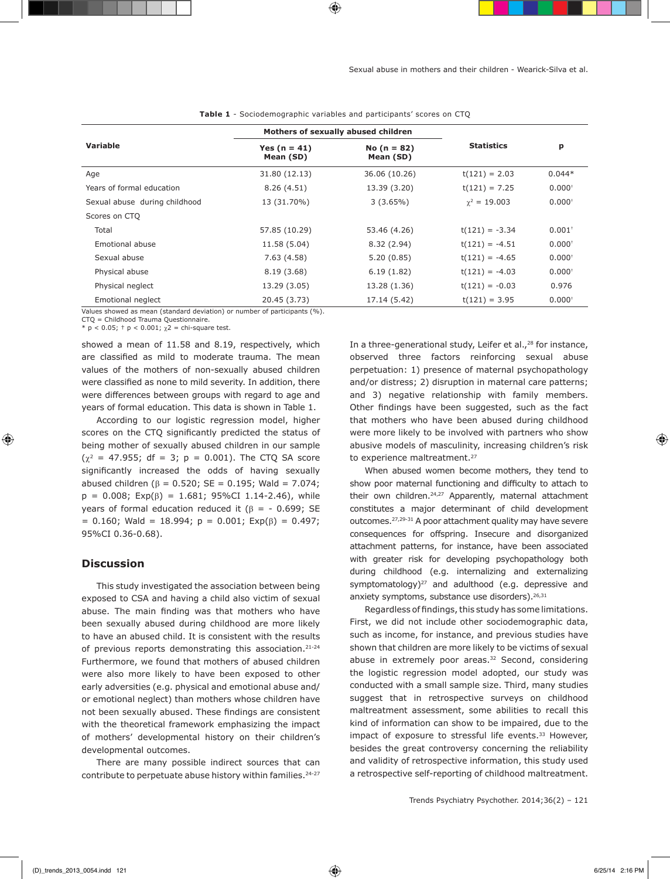| <b>Variable</b>                                                                                                                                                                                                                                        | Mothers of sexually abused children |                            |                     |                      |
|--------------------------------------------------------------------------------------------------------------------------------------------------------------------------------------------------------------------------------------------------------|-------------------------------------|----------------------------|---------------------|----------------------|
|                                                                                                                                                                                                                                                        | Yes $(n = 41)$<br>Mean (SD)         | No $(n = 82)$<br>Mean (SD) | <b>Statistics</b>   | p                    |
| Age                                                                                                                                                                                                                                                    | 31.80 (12.13)                       | 36.06 (10.26)              | $t(121) = 2.03$     | $0.044*$             |
| Years of formal education                                                                                                                                                                                                                              | 8.26(4.51)                          | 13.39 (3.20)               | $t(121) = 7.25$     | 0.000 <sup>†</sup>   |
| Sexual abuse during childhood                                                                                                                                                                                                                          | 13 (31.70%)                         | $3(3.65\%)$                | $\gamma^2 = 19.003$ | $0.000+$             |
| Scores on CTO                                                                                                                                                                                                                                          |                                     |                            |                     |                      |
| Total                                                                                                                                                                                                                                                  | 57.85 (10.29)                       | 53.46 (4.26)               | $t(121) = -3.34$    | $0.001$ <sup>+</sup> |
| Emotional abuse                                                                                                                                                                                                                                        | 11.58 (5.04)                        | 8.32 (2.94)                | $t(121) = -4.51$    | 0.000 <sup>†</sup>   |
| Sexual abuse                                                                                                                                                                                                                                           | 7.63(4.58)                          | 5.20(0.85)                 | $t(121) = -4.65$    | 0.000 <sup>†</sup>   |
| Physical abuse                                                                                                                                                                                                                                         | 8.19 (3.68)                         | 6.19(1.82)                 | $t(121) = -4.03$    | 0.000 <sup>†</sup>   |
| Physical neglect                                                                                                                                                                                                                                       | 13.29 (3.05)                        | 13.28 (1.36)               | $t(121) = -0.03$    | 0.976                |
| Emotional neglect<br>$\mathcal{L}$ , and the set of the set of the set of the set of the set of the set of the set of the set of the set of the set of the set of the set of the set of the set of the set of the set of the set of the set of the set | 20.45 (3.73)                        | 17.14 (5.42)               | $t(121) = 3.95$     | $0.000^{+}$          |

**Table 1** - Sociodemographic variables and participants' scores on CTQ

Values showed as mean (standard deviation) or number of participants (%).

CTQ = Childhood Trauma Questionnaire.

\*  $p < 0.05$ ; †  $p < 0.001$ ;  $\chi$ 2 = chi-square test.

showed a mean of 11.58 and 8.19, respectively, which are classified as mild to moderate trauma. The mean values of the mothers of non-sexually abused children were classified as none to mild severity. In addition, there were differences between groups with regard to age and years of formal education. This data is shown in Table 1.

According to our logistic regression model, higher scores on the CTQ significantly predicted the status of being mother of sexually abused children in our sample  $(\chi^2 = 47.955; df = 3; p = 0.001)$ . The CTQ SA score significantly increased the odds of having sexually abused children ( $β = 0.520$ ; SE = 0.195; Wald = 7.074;  $p = 0.008$ ; Exp( $\beta$ ) = 1.681; 95%CI 1.14-2.46), while years of formal education reduced it ( $β = -0.699$ ; SE  $= 0.160$ ; Wald = 18.994; p = 0.001; Exp( $\beta$ ) = 0.497; 95%CI 0.36-0.68).

# **Discussion**

This study investigated the association between being exposed to CSA and having a child also victim of sexual abuse. The main finding was that mothers who have been sexually abused during childhood are more likely to have an abused child. It is consistent with the results of previous reports demonstrating this association.<sup>21-24</sup> Furthermore, we found that mothers of abused children were also more likely to have been exposed to other early adversities (e.g. physical and emotional abuse and/ or emotional neglect) than mothers whose children have not been sexually abused. These findings are consistent with the theoretical framework emphasizing the impact of mothers' developmental history on their children's developmental outcomes.

There are many possible indirect sources that can contribute to perpetuate abuse history within families.<sup>24-27</sup> In a three-generational study, Leifer et al.,<sup>28</sup> for instance, observed three factors reinforcing sexual abuse perpetuation: 1) presence of maternal psychopathology and/or distress; 2) disruption in maternal care patterns; and 3) negative relationship with family members. Other findings have been suggested, such as the fact that mothers who have been abused during childhood were more likely to be involved with partners who show abusive models of masculinity, increasing children's risk to experience maltreatment.<sup>27</sup>

When abused women become mothers, they tend to show poor maternal functioning and difficulty to attach to their own children.<sup>24,27</sup> Apparently, maternal attachment constitutes a major determinant of child development outcomes.27,29-31 A poor attachment quality may have severe consequences for offspring. Insecure and disorganized attachment patterns, for instance, have been associated with greater risk for developing psychopathology both during childhood (e.g. internalizing and externalizing symptomatology)<sup>27</sup> and adulthood (e.g. depressive and anxiety symptoms, substance use disorders).<sup>26,31</sup>

Regardless of findings, this study has some limitations. First, we did not include other sociodemographic data, such as income, for instance, and previous studies have shown that children are more likely to be victims of sexual abuse in extremely poor areas.<sup>32</sup> Second, considering the logistic regression model adopted, our study was conducted with a small sample size. Third, many studies suggest that in retrospective surveys on childhood maltreatment assessment, some abilities to recall this kind of information can show to be impaired, due to the impact of exposure to stressful life events.<sup>33</sup> However, besides the great controversy concerning the reliability and validity of retrospective information, this study used a retrospective self-reporting of childhood maltreatment.